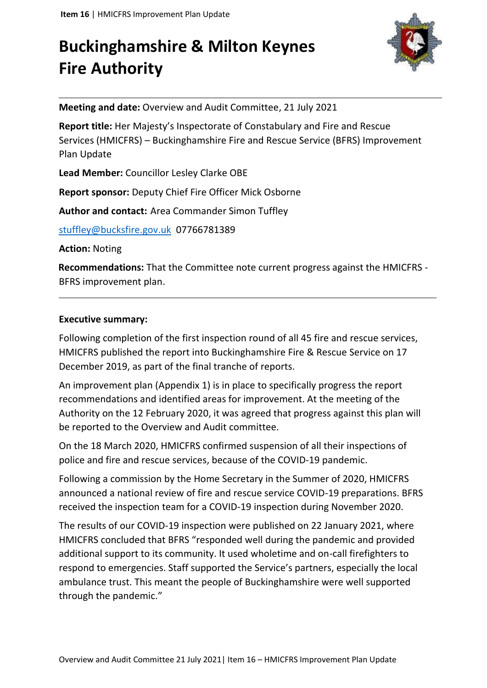# **Buckinghamshire & Milton Keynes Fire Authority**



**Meeting and date:** Overview and Audit Committee, 21 July 2021

**Report title:** Her Majesty's Inspectorate of Constabulary and Fire and Rescue Services (HMICFRS) – Buckinghamshire Fire and Rescue Service (BFRS) Improvement Plan Update

**Lead Member:** Councillor Lesley Clarke OBE

**Report sponsor:** Deputy Chief Fire Officer Mick Osborne

**Author and contact:** Area Commander Simon Tuffley

[stuffley@bucksfire.gov.uk](mailto:stuffley@bucksfire.gov.uk) 07766781389

**Action:** Noting

**Recommendations:** That the Committee note current progress against the HMICFRS - BFRS improvement plan.

## **Executive summary:**

Following completion of the first inspection round of all 45 fire and rescue services, HMICFRS published the report into Buckinghamshire Fire & Rescue Service on 17 December 2019, as part of the final tranche of reports.

An improvement plan (Appendix 1) is in place to specifically progress the report recommendations and identified areas for improvement. At the meeting of the Authority on the 12 February 2020, it was agreed that progress against this plan will be reported to the Overview and Audit committee.

On the 18 March 2020, HMICFRS confirmed suspension of all their inspections of police and fire and rescue services, because of the COVID-19 pandemic.

Following a commission by the Home Secretary in the Summer of 2020, HMICFRS announced a national review of fire and rescue service COVID-19 preparations. BFRS received the inspection team for a COVID-19 inspection during November 2020.

The results of our COVID-19 inspection were published on 22 January 2021, where HMICFRS concluded that BFRS "responded well during the pandemic and provided additional support to its community. It used wholetime and on-call firefighters to respond to emergencies. Staff supported the Service's partners, especially the local ambulance trust. This meant the people of Buckinghamshire were well supported through the pandemic."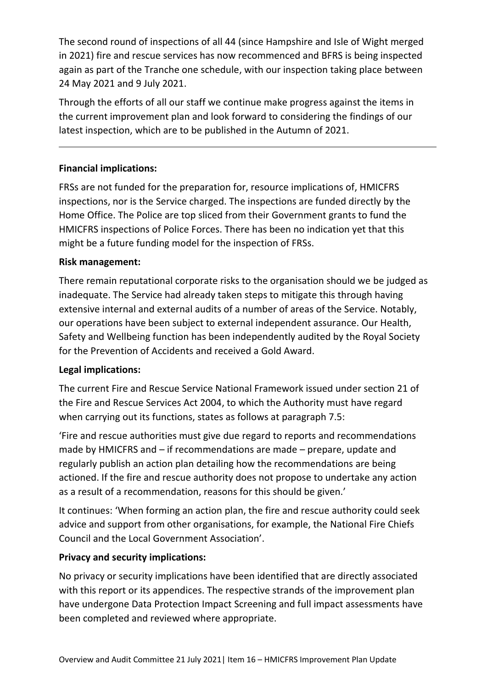The second round of inspections of all 44 (since Hampshire and Isle of Wight merged in 2021) fire and rescue services has now recommenced and BFRS is being inspected again as part of the Tranche one schedule, with our inspection taking place between 24 May 2021 and 9 July 2021.

Through the efforts of all our staff we continue make progress against the items in the current improvement plan and look forward to considering the findings of our latest inspection, which are to be published in the Autumn of 2021.

# **Financial implications:**

FRSs are not funded for the preparation for, resource implications of, HMICFRS inspections, nor is the Service charged. The inspections are funded directly by the Home Office. The Police are top sliced from their Government grants to fund the HMICFRS inspections of Police Forces. There has been no indication yet that this might be a future funding model for the inspection of FRSs.

## **Risk management:**

There remain reputational corporate risks to the organisation should we be judged as inadequate. The Service had already taken steps to mitigate this through having extensive internal and external audits of a number of areas of the Service. Notably, our operations have been subject to external independent assurance. Our Health, Safety and Wellbeing function has been independently audited by the Royal Society for the Prevention of Accidents and received a Gold Award.

## **Legal implications:**

The current Fire and Rescue Service National Framework issued under section 21 of the Fire and Rescue Services Act 2004, to which the Authority must have regard when carrying out its functions, states as follows at paragraph 7.5:

'Fire and rescue authorities must give due regard to reports and recommendations made by HMICFRS and – if recommendations are made – prepare, update and regularly publish an action plan detailing how the recommendations are being actioned. If the fire and rescue authority does not propose to undertake any action as a result of a recommendation, reasons for this should be given.'

It continues: 'When forming an action plan, the fire and rescue authority could seek advice and support from other organisations, for example, the National Fire Chiefs Council and the Local Government Association'.

## **Privacy and security implications:**

No privacy or security implications have been identified that are directly associated with this report or its appendices. The respective strands of the improvement plan have undergone Data Protection Impact Screening and full impact assessments have been completed and reviewed where appropriate.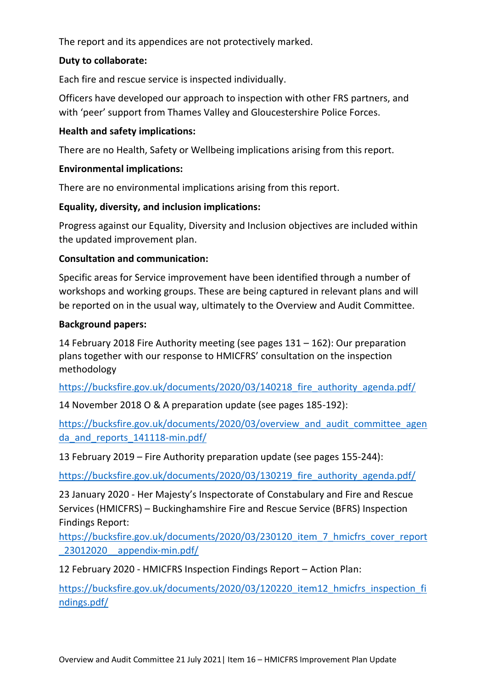The report and its appendices are not protectively marked.

# **Duty to collaborate:**

Each fire and rescue service is inspected individually.

Officers have developed our approach to inspection with other FRS partners, and with 'peer' support from Thames Valley and Gloucestershire Police Forces.

# **Health and safety implications:**

There are no Health, Safety or Wellbeing implications arising from this report.

# **Environmental implications:**

There are no environmental implications arising from this report.

# **Equality, diversity, and inclusion implications:**

Progress against our Equality, Diversity and Inclusion objectives are included within the updated improvement plan.

# **Consultation and communication:**

Specific areas for Service improvement have been identified through a number of workshops and working groups. These are being captured in relevant plans and will be reported on in the usual way, ultimately to the Overview and Audit Committee.

## **Background papers:**

14 February 2018 Fire Authority meeting (see pages 131 – 162): Our preparation plans together with our response to HMICFRS' consultation on the inspection methodology

https://bucksfire.gov.uk/documents/2020/03/140218 fire authority agenda.pdf/

14 November 2018 O & A preparation update (see pages 185-192):

[https://bucksfire.gov.uk/documents/2020/03/overview\\_and\\_audit\\_committee\\_agen](https://bucksfire.gov.uk/documents/2020/03/overview_and_audit_committee_agenda_and_reports_141118-min.pdf/) da and reports 141118-min.pdf/

13 February 2019 – Fire Authority preparation update (see pages 155-244):

https://bucksfire.gov.uk/documents/2020/03/130219 fire authority agenda.pdf/

23 January 2020 - Her Majesty's Inspectorate of Constabulary and Fire and Rescue Services (HMICFRS) – Buckinghamshire Fire and Rescue Service (BFRS) Inspection Findings Report:

[https://bucksfire.gov.uk/documents/2020/03/230120\\_item\\_7\\_hmicfrs\\_cover\\_report](https://bucksfire.gov.uk/documents/2020/03/230120_item_7_hmicfrs_cover_report_23012020__appendix-min.pdf/) [\\_23012020\\_\\_appendix-min.pdf/](https://bucksfire.gov.uk/documents/2020/03/230120_item_7_hmicfrs_cover_report_23012020__appendix-min.pdf/)

12 February 2020 - HMICFRS Inspection Findings Report – Action Plan:

[https://bucksfire.gov.uk/documents/2020/03/120220\\_item12\\_hmicfrs\\_inspection\\_fi](https://bucksfire.gov.uk/documents/2020/03/120220_item12_hmicfrs_inspection_findings.pdf/) [ndings.pdf/](https://bucksfire.gov.uk/documents/2020/03/120220_item12_hmicfrs_inspection_findings.pdf/)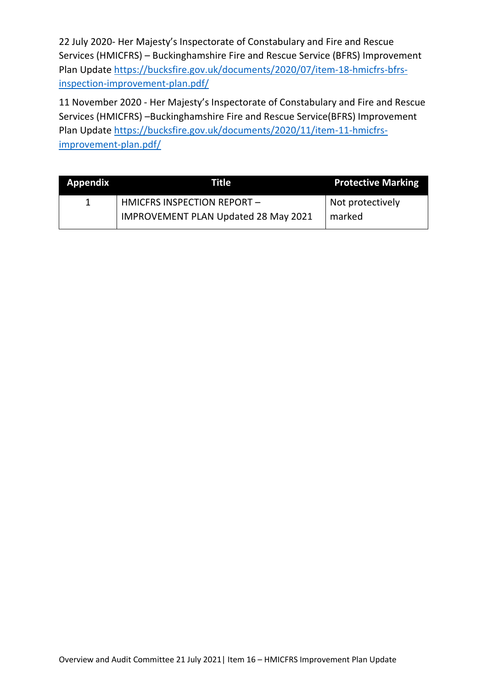22 July 2020- Her Majesty's Inspectorate of Constabulary and Fire and Rescue Services (HMICFRS) – Buckinghamshire Fire and Rescue Service (BFRS) Improvement Plan Update [https://bucksfire.gov.uk/documents/2020/07/item-18-hmicfrs-bfrs](https://bucksfire.gov.uk/documents/2020/07/item-18-hmicfrs-bfrs-inspection-improvement-plan.pdf/)[inspection-improvement-plan.pdf/](https://bucksfire.gov.uk/documents/2020/07/item-18-hmicfrs-bfrs-inspection-improvement-plan.pdf/)

11 November 2020 - Her Majesty's Inspectorate of Constabulary and Fire and Rescue Services (HMICFRS) –Buckinghamshire Fire and Rescue Service(BFRS) Improvement Plan Update [https://bucksfire.gov.uk/documents/2020/11/item-11-hmicfrs](https://bucksfire.gov.uk/documents/2020/11/item-11-hmicfrs-improvement-plan.pdf/)[improvement-plan.pdf/](https://bucksfire.gov.uk/documents/2020/11/item-11-hmicfrs-improvement-plan.pdf/)

| <b>Appendix</b> | Title                                       | <b>Protective Marking</b> |
|-----------------|---------------------------------------------|---------------------------|
|                 | HMICFRS INSPECTION REPORT-                  | Not protectively          |
|                 | <b>IMPROVEMENT PLAN Updated 28 May 2021</b> | marked                    |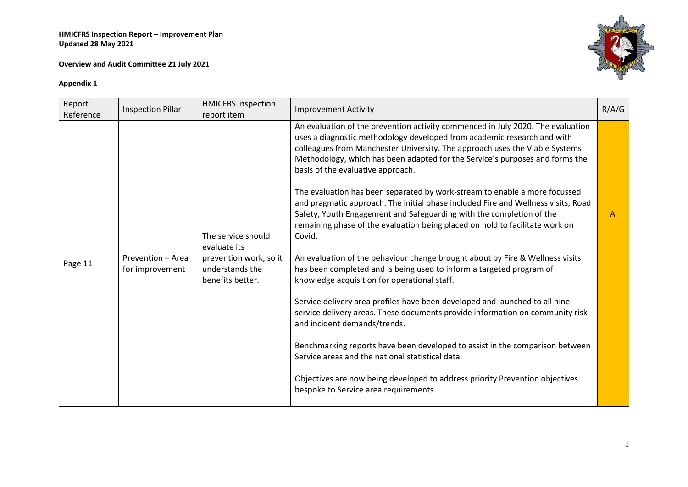**Overview and Audit Committee 21 July 2021**



| Report<br>Reference | <b>Inspection Pillar</b>             | <b>HMICFRS inspection</b><br>report item                      | <b>Improvement Activity</b>                                                                                                                                                                                                                                                                                                                                    | R/A/G |
|---------------------|--------------------------------------|---------------------------------------------------------------|----------------------------------------------------------------------------------------------------------------------------------------------------------------------------------------------------------------------------------------------------------------------------------------------------------------------------------------------------------------|-------|
|                     |                                      |                                                               | An evaluation of the prevention activity commenced in July 2020. The evaluation<br>uses a diagnostic methodology developed from academic research and with<br>colleagues from Manchester University. The approach uses the Viable Systems<br>Methodology, which has been adapted for the Service's purposes and forms the<br>basis of the evaluative approach. |       |
|                     |                                      | The service should<br>evaluate its                            | The evaluation has been separated by work-stream to enable a more focussed<br>and pragmatic approach. The initial phase included Fire and Wellness visits, Road<br>Safety, Youth Engagement and Safeguarding with the completion of the<br>remaining phase of the evaluation being placed on hold to facilitate work on<br>Covid.                              | A     |
| Page 11             | Prevention - Area<br>for improvement | prevention work, so it<br>understands the<br>benefits better. | An evaluation of the behaviour change brought about by Fire & Wellness visits<br>has been completed and is being used to inform a targeted program of<br>knowledge acquisition for operational staff.                                                                                                                                                          |       |
|                     |                                      |                                                               | Service delivery area profiles have been developed and launched to all nine<br>service delivery areas. These documents provide information on community risk<br>and incident demands/trends.                                                                                                                                                                   |       |
|                     |                                      |                                                               | Benchmarking reports have been developed to assist in the comparison between<br>Service areas and the national statistical data.                                                                                                                                                                                                                               |       |
|                     |                                      |                                                               | Objectives are now being developed to address priority Prevention objectives<br>bespoke to Service area requirements.                                                                                                                                                                                                                                          |       |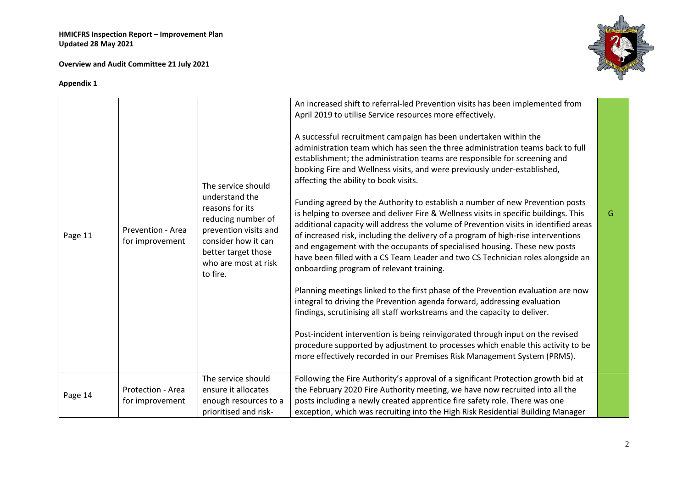**Overview and Audit Committee 21 July 2021**



| Page 11 | Prevention - Area<br>for improvement | The service should<br>understand the<br>reasons for its<br>reducing number of<br>prevention visits and<br>consider how it can<br>better target those<br>who are most at risk<br>to fire. | An increased shift to referral-led Prevention visits has been implemented from<br>April 2019 to utilise Service resources more effectively.<br>A successful recruitment campaign has been undertaken within the<br>administration team which has seen the three administration teams back to full<br>establishment; the administration teams are responsible for screening and<br>booking Fire and Wellness visits, and were previously under-established,<br>affecting the ability to book visits.<br>Funding agreed by the Authority to establish a number of new Prevention posts<br>is helping to oversee and deliver Fire & Wellness visits in specific buildings. This<br>additional capacity will address the volume of Prevention visits in identified areas<br>of increased risk, including the delivery of a program of high-rise interventions<br>and engagement with the occupants of specialised housing. These new posts<br>have been filled with a CS Team Leader and two CS Technician roles alongside an<br>onboarding program of relevant training.<br>Planning meetings linked to the first phase of the Prevention evaluation are now<br>integral to driving the Prevention agenda forward, addressing evaluation<br>findings, scrutinising all staff workstreams and the capacity to deliver. | G |
|---------|--------------------------------------|------------------------------------------------------------------------------------------------------------------------------------------------------------------------------------------|--------------------------------------------------------------------------------------------------------------------------------------------------------------------------------------------------------------------------------------------------------------------------------------------------------------------------------------------------------------------------------------------------------------------------------------------------------------------------------------------------------------------------------------------------------------------------------------------------------------------------------------------------------------------------------------------------------------------------------------------------------------------------------------------------------------------------------------------------------------------------------------------------------------------------------------------------------------------------------------------------------------------------------------------------------------------------------------------------------------------------------------------------------------------------------------------------------------------------------------------------------------------------------------------------------------------|---|
|         |                                      |                                                                                                                                                                                          | Post-incident intervention is being reinvigorated through input on the revised<br>procedure supported by adjustment to processes which enable this activity to be<br>more effectively recorded in our Premises Risk Management System (PRMS).                                                                                                                                                                                                                                                                                                                                                                                                                                                                                                                                                                                                                                                                                                                                                                                                                                                                                                                                                                                                                                                                      |   |
| Page 14 | Protection - Area<br>for improvement | The service should<br>ensure it allocates<br>enough resources to a<br>prioritised and risk-                                                                                              | Following the Fire Authority's approval of a significant Protection growth bid at<br>the February 2020 Fire Authority meeting, we have now recruited into all the<br>posts including a newly created apprentice fire safety role. There was one<br>exception, which was recruiting into the High Risk Residential Building Manager                                                                                                                                                                                                                                                                                                                                                                                                                                                                                                                                                                                                                                                                                                                                                                                                                                                                                                                                                                                 |   |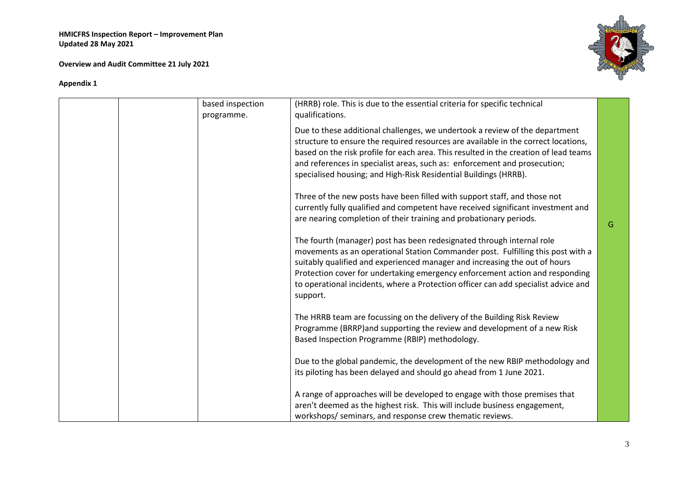**Overview and Audit Committee 21 July 2021**



| based inspection | (HRRB) role. This is due to the essential criteria for specific technical                                                                                                                                                                                                                                                                                                                                                |   |
|------------------|--------------------------------------------------------------------------------------------------------------------------------------------------------------------------------------------------------------------------------------------------------------------------------------------------------------------------------------------------------------------------------------------------------------------------|---|
| programme.       | qualifications.                                                                                                                                                                                                                                                                                                                                                                                                          |   |
|                  | Due to these additional challenges, we undertook a review of the department<br>structure to ensure the required resources are available in the correct locations,<br>based on the risk profile for each area. This resulted in the creation of lead teams<br>and references in specialist areas, such as: enforcement and prosecution;<br>specialised housing; and High-Risk Residential Buildings (HRRB).               |   |
|                  | Three of the new posts have been filled with support staff, and those not<br>currently fully qualified and competent have received significant investment and<br>are nearing completion of their training and probationary periods.                                                                                                                                                                                      | G |
|                  | The fourth (manager) post has been redesignated through internal role<br>movements as an operational Station Commander post. Fulfilling this post with a<br>suitably qualified and experienced manager and increasing the out of hours<br>Protection cover for undertaking emergency enforcement action and responding<br>to operational incidents, where a Protection officer can add specialist advice and<br>support. |   |
|                  | The HRRB team are focussing on the delivery of the Building Risk Review<br>Programme (BRRP) and supporting the review and development of a new Risk<br>Based Inspection Programme (RBIP) methodology.                                                                                                                                                                                                                    |   |
|                  | Due to the global pandemic, the development of the new RBIP methodology and<br>its piloting has been delayed and should go ahead from 1 June 2021.                                                                                                                                                                                                                                                                       |   |
|                  | A range of approaches will be developed to engage with those premises that<br>aren't deemed as the highest risk. This will include business engagement,<br>workshops/ seminars, and response crew thematic reviews.                                                                                                                                                                                                      |   |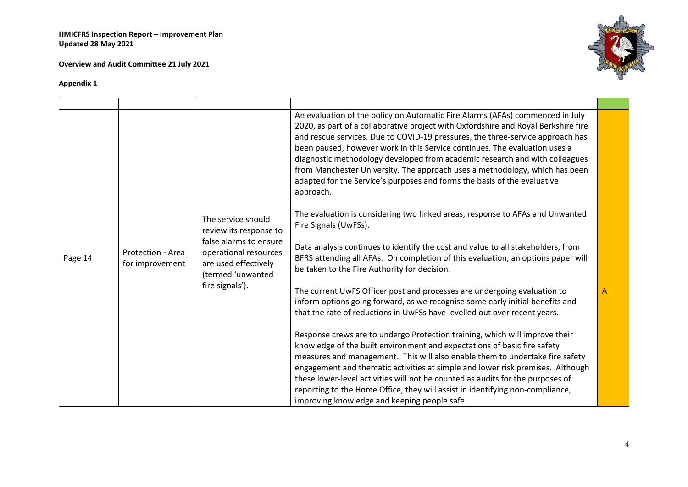**Overview and Audit Committee 21 July 2021**



| Page 14 | Protection - Area<br>for improvement | The service should<br>review its response to<br>false alarms to ensure<br>operational resources<br>are used effectively<br>(termed 'unwanted<br>fire signals'). | An evaluation of the policy on Automatic Fire Alarms (AFAs) commenced in July<br>2020, as part of a collaborative project with Oxfordshire and Royal Berkshire fire<br>and rescue services. Due to COVID-19 pressures, the three-service approach has<br>been paused, however work in this Service continues. The evaluation uses a<br>diagnostic methodology developed from academic research and with colleagues<br>from Manchester University. The approach uses a methodology, which has been<br>adapted for the Service's purposes and forms the basis of the evaluative<br>approach.<br>The evaluation is considering two linked areas, response to AFAs and Unwanted<br>Fire Signals (UwFSs).<br>Data analysis continues to identify the cost and value to all stakeholders, from<br>BFRS attending all AFAs. On completion of this evaluation, an options paper will<br>be taken to the Fire Authority for decision.<br>The current UwFS Officer post and processes are undergoing evaluation to<br>inform options going forward, as we recognise some early initial benefits and<br>that the rate of reductions in UwFSs have levelled out over recent years.<br>Response crews are to undergo Protection training, which will improve their<br>knowledge of the built environment and expectations of basic fire safety<br>measures and management. This will also enable them to undertake fire safety | Α |
|---------|--------------------------------------|-----------------------------------------------------------------------------------------------------------------------------------------------------------------|-------------------------------------------------------------------------------------------------------------------------------------------------------------------------------------------------------------------------------------------------------------------------------------------------------------------------------------------------------------------------------------------------------------------------------------------------------------------------------------------------------------------------------------------------------------------------------------------------------------------------------------------------------------------------------------------------------------------------------------------------------------------------------------------------------------------------------------------------------------------------------------------------------------------------------------------------------------------------------------------------------------------------------------------------------------------------------------------------------------------------------------------------------------------------------------------------------------------------------------------------------------------------------------------------------------------------------------------------------------------------------------------------------------------|---|
|         |                                      |                                                                                                                                                                 | engagement and thematic activities at simple and lower risk premises. Although<br>these lower-level activities will not be counted as audits for the purposes of<br>reporting to the Home Office, they will assist in identifying non-compliance,                                                                                                                                                                                                                                                                                                                                                                                                                                                                                                                                                                                                                                                                                                                                                                                                                                                                                                                                                                                                                                                                                                                                                                 |   |
|         |                                      |                                                                                                                                                                 | improving knowledge and keeping people safe.                                                                                                                                                                                                                                                                                                                                                                                                                                                                                                                                                                                                                                                                                                                                                                                                                                                                                                                                                                                                                                                                                                                                                                                                                                                                                                                                                                      |   |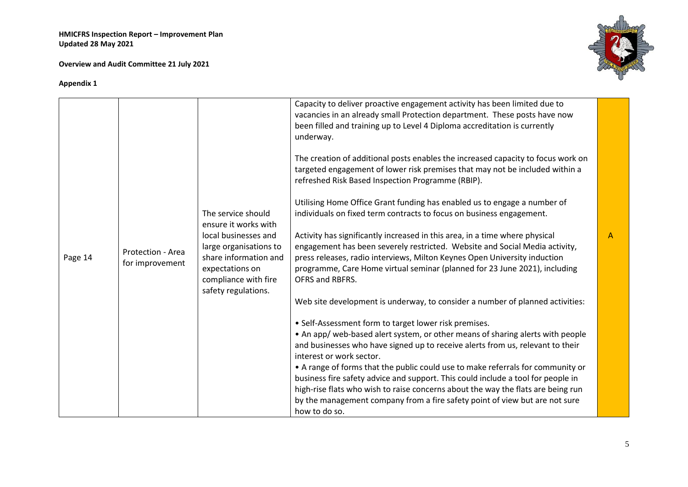**Overview and Audit Committee 21 July 2021**



|         |                                      |                                                                                                                   | Capacity to deliver proactive engagement activity has been limited due to<br>vacancies in an already small Protection department. These posts have now<br>been filled and training up to Level 4 Diploma accreditation is currently<br>underway.<br>The creation of additional posts enables the increased capacity to focus work on<br>targeted engagement of lower risk premises that may not be included within a         |                |
|---------|--------------------------------------|-------------------------------------------------------------------------------------------------------------------|------------------------------------------------------------------------------------------------------------------------------------------------------------------------------------------------------------------------------------------------------------------------------------------------------------------------------------------------------------------------------------------------------------------------------|----------------|
|         |                                      |                                                                                                                   | refreshed Risk Based Inspection Programme (RBIP).                                                                                                                                                                                                                                                                                                                                                                            |                |
|         |                                      | The service should<br>ensure it works with                                                                        | Utilising Home Office Grant funding has enabled us to engage a number of<br>individuals on fixed term contracts to focus on business engagement.                                                                                                                                                                                                                                                                             |                |
|         |                                      | local businesses and                                                                                              | Activity has significantly increased in this area, in a time where physical                                                                                                                                                                                                                                                                                                                                                  | $\overline{A}$ |
| Page 14 | Protection - Area<br>for improvement | large organisations to<br>share information and<br>expectations on<br>compliance with fire<br>safety regulations. | engagement has been severely restricted. Website and Social Media activity,<br>press releases, radio interviews, Milton Keynes Open University induction<br>programme, Care Home virtual seminar (planned for 23 June 2021), including<br>OFRS and RBFRS.                                                                                                                                                                    |                |
|         |                                      |                                                                                                                   | Web site development is underway, to consider a number of planned activities:                                                                                                                                                                                                                                                                                                                                                |                |
|         |                                      |                                                                                                                   | • Self-Assessment form to target lower risk premises.<br>• An app/ web-based alert system, or other means of sharing alerts with people<br>and businesses who have signed up to receive alerts from us, relevant to their<br>interest or work sector.<br>• A range of forms that the public could use to make referrals for community or<br>business fire safety advice and support. This could include a tool for people in |                |
|         |                                      |                                                                                                                   | high-rise flats who wish to raise concerns about the way the flats are being run<br>by the management company from a fire safety point of view but are not sure<br>how to do so.                                                                                                                                                                                                                                             |                |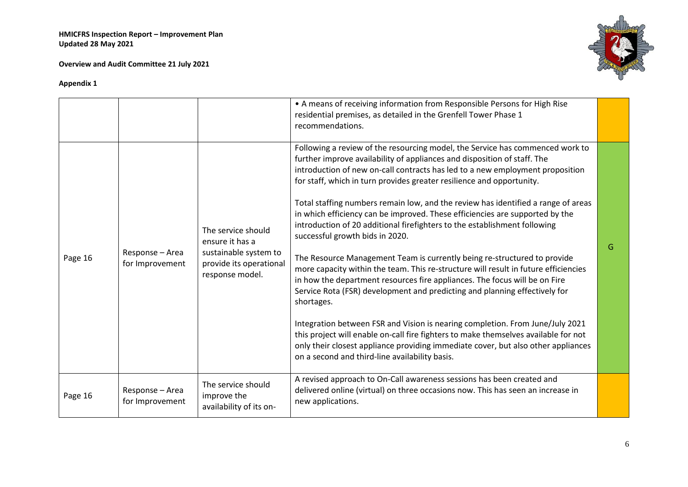**Overview and Audit Committee 21 July 2021**



|         |                                    |                                                                                                              | • A means of receiving information from Responsible Persons for High Rise<br>residential premises, as detailed in the Grenfell Tower Phase 1<br>recommendations.                                                                                                                                                                                                                                                                                                                                                                                                                                                                                                                                                                                                                                                                                                                                                                                                                                                                                                                                                                                                                                                                                                     |   |
|---------|------------------------------------|--------------------------------------------------------------------------------------------------------------|----------------------------------------------------------------------------------------------------------------------------------------------------------------------------------------------------------------------------------------------------------------------------------------------------------------------------------------------------------------------------------------------------------------------------------------------------------------------------------------------------------------------------------------------------------------------------------------------------------------------------------------------------------------------------------------------------------------------------------------------------------------------------------------------------------------------------------------------------------------------------------------------------------------------------------------------------------------------------------------------------------------------------------------------------------------------------------------------------------------------------------------------------------------------------------------------------------------------------------------------------------------------|---|
| Page 16 | Response - Area<br>for Improvement | The service should<br>ensure it has a<br>sustainable system to<br>provide its operational<br>response model. | Following a review of the resourcing model, the Service has commenced work to<br>further improve availability of appliances and disposition of staff. The<br>introduction of new on-call contracts has led to a new employment proposition<br>for staff, which in turn provides greater resilience and opportunity.<br>Total staffing numbers remain low, and the review has identified a range of areas<br>in which efficiency can be improved. These efficiencies are supported by the<br>introduction of 20 additional firefighters to the establishment following<br>successful growth bids in 2020.<br>The Resource Management Team is currently being re-structured to provide<br>more capacity within the team. This re-structure will result in future efficiencies<br>in how the department resources fire appliances. The focus will be on Fire<br>Service Rota (FSR) development and predicting and planning effectively for<br>shortages.<br>Integration between FSR and Vision is nearing completion. From June/July 2021<br>this project will enable on-call fire fighters to make themselves available for not<br>only their closest appliance providing immediate cover, but also other appliances<br>on a second and third-line availability basis. | G |
| Page 16 | Response - Area<br>for Improvement | The service should<br>improve the<br>availability of its on-                                                 | A revised approach to On-Call awareness sessions has been created and<br>delivered online (virtual) on three occasions now. This has seen an increase in<br>new applications.                                                                                                                                                                                                                                                                                                                                                                                                                                                                                                                                                                                                                                                                                                                                                                                                                                                                                                                                                                                                                                                                                        |   |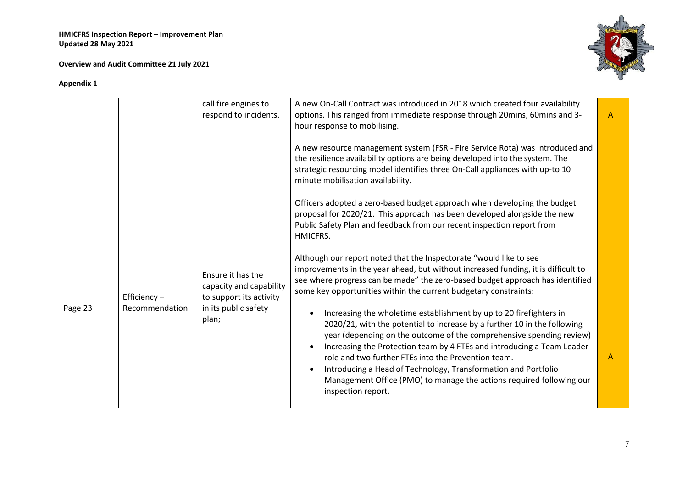**Overview and Audit Committee 21 July 2021**



|         |                                  | call fire engines to<br>respond to incidents.                                                            | A new On-Call Contract was introduced in 2018 which created four availability<br>options. This ranged from immediate response through 20mins, 60mins and 3-<br>hour response to mobilising.<br>A new resource management system (FSR - Fire Service Rota) was introduced and<br>the resilience availability options are being developed into the system. The<br>strategic resourcing model identifies three On-Call appliances with up-to 10<br>minute mobilisation availability.                                                                                                                                                                                                                                                                                                                                                                                                                                                                                                                                                                                                                  | $\mathsf{A}$ |
|---------|----------------------------------|----------------------------------------------------------------------------------------------------------|----------------------------------------------------------------------------------------------------------------------------------------------------------------------------------------------------------------------------------------------------------------------------------------------------------------------------------------------------------------------------------------------------------------------------------------------------------------------------------------------------------------------------------------------------------------------------------------------------------------------------------------------------------------------------------------------------------------------------------------------------------------------------------------------------------------------------------------------------------------------------------------------------------------------------------------------------------------------------------------------------------------------------------------------------------------------------------------------------|--------------|
| Page 23 | Efficiency $-$<br>Recommendation | Ensure it has the<br>capacity and capability<br>to support its activity<br>in its public safety<br>plan; | Officers adopted a zero-based budget approach when developing the budget<br>proposal for 2020/21. This approach has been developed alongside the new<br>Public Safety Plan and feedback from our recent inspection report from<br>HMICFRS.<br>Although our report noted that the Inspectorate "would like to see<br>improvements in the year ahead, but without increased funding, it is difficult to<br>see where progress can be made" the zero-based budget approach has identified<br>some key opportunities within the current budgetary constraints:<br>Increasing the wholetime establishment by up to 20 firefighters in<br>2020/21, with the potential to increase by a further 10 in the following<br>year (depending on the outcome of the comprehensive spending review)<br>Increasing the Protection team by 4 FTEs and introducing a Team Leader<br>role and two further FTEs into the Prevention team.<br>Introducing a Head of Technology, Transformation and Portfolio<br>$\bullet$<br>Management Office (PMO) to manage the actions required following our<br>inspection report. | A            |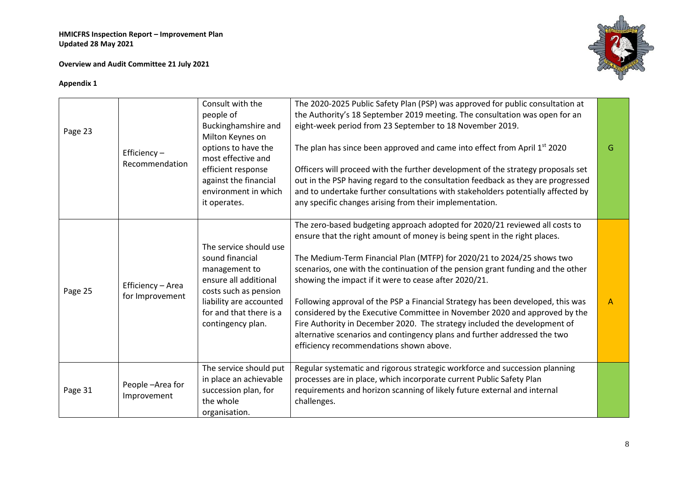**Overview and Audit Committee 21 July 2021**



| Page 23 | Efficiency $-$<br>Recommendation     | Consult with the<br>people of<br>Buckinghamshire and<br>Milton Keynes on<br>options to have the<br>most effective and<br>efficient response<br>against the financial<br>environment in which<br>it operates. | The 2020-2025 Public Safety Plan (PSP) was approved for public consultation at<br>the Authority's 18 September 2019 meeting. The consultation was open for an<br>eight-week period from 23 September to 18 November 2019.<br>The plan has since been approved and came into effect from April 1 <sup>st</sup> 2020<br>Officers will proceed with the further development of the strategy proposals set<br>out in the PSP having regard to the consultation feedback as they are progressed<br>and to undertake further consultations with stakeholders potentially affected by<br>any specific changes arising from their implementation.                                                                                                            | G            |
|---------|--------------------------------------|--------------------------------------------------------------------------------------------------------------------------------------------------------------------------------------------------------------|------------------------------------------------------------------------------------------------------------------------------------------------------------------------------------------------------------------------------------------------------------------------------------------------------------------------------------------------------------------------------------------------------------------------------------------------------------------------------------------------------------------------------------------------------------------------------------------------------------------------------------------------------------------------------------------------------------------------------------------------------|--------------|
| Page 25 | Efficiency - Area<br>for Improvement | The service should use<br>sound financial<br>management to<br>ensure all additional<br>costs such as pension<br>liability are accounted<br>for and that there is a<br>contingency plan.                      | The zero-based budgeting approach adopted for 2020/21 reviewed all costs to<br>ensure that the right amount of money is being spent in the right places.<br>The Medium-Term Financial Plan (MTFP) for 2020/21 to 2024/25 shows two<br>scenarios, one with the continuation of the pension grant funding and the other<br>showing the impact if it were to cease after 2020/21.<br>Following approval of the PSP a Financial Strategy has been developed, this was<br>considered by the Executive Committee in November 2020 and approved by the<br>Fire Authority in December 2020. The strategy included the development of<br>alternative scenarios and contingency plans and further addressed the two<br>efficiency recommendations shown above. | $\mathsf{A}$ |
| Page 31 | People-Area for<br>Improvement       | The service should put<br>in place an achievable<br>succession plan, for<br>the whole<br>organisation.                                                                                                       | Regular systematic and rigorous strategic workforce and succession planning<br>processes are in place, which incorporate current Public Safety Plan<br>requirements and horizon scanning of likely future external and internal<br>challenges.                                                                                                                                                                                                                                                                                                                                                                                                                                                                                                       |              |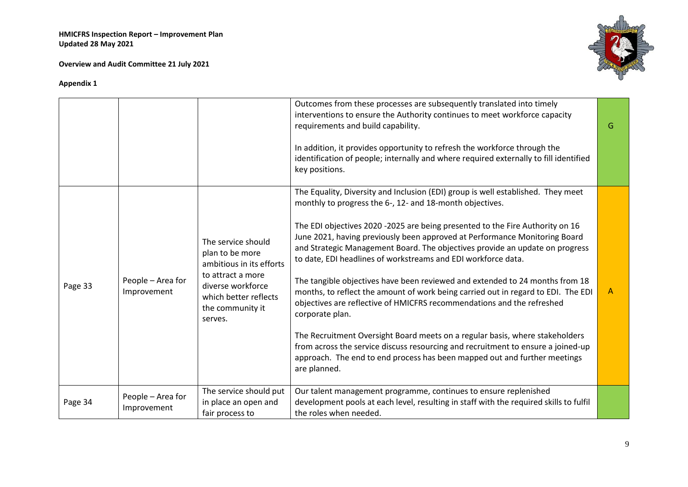**Overview and Audit Committee 21 July 2021**



|         |                                  |                                                                                                                                                                     | Outcomes from these processes are subsequently translated into timely<br>interventions to ensure the Authority continues to meet workforce capacity<br>requirements and build capability.                                                                                                                    | G |
|---------|----------------------------------|---------------------------------------------------------------------------------------------------------------------------------------------------------------------|--------------------------------------------------------------------------------------------------------------------------------------------------------------------------------------------------------------------------------------------------------------------------------------------------------------|---|
|         |                                  |                                                                                                                                                                     | In addition, it provides opportunity to refresh the workforce through the<br>identification of people; internally and where required externally to fill identified<br>key positions.                                                                                                                         |   |
|         |                                  |                                                                                                                                                                     | The Equality, Diversity and Inclusion (EDI) group is well established. They meet<br>monthly to progress the 6-, 12- and 18-month objectives.                                                                                                                                                                 |   |
| Page 33 | People - Area for<br>Improvement | The service should<br>plan to be more<br>ambitious in its efforts<br>to attract a more<br>diverse workforce<br>which better reflects<br>the community it<br>serves. | The EDI objectives 2020 -2025 are being presented to the Fire Authority on 16<br>June 2021, having previously been approved at Performance Monitoring Board<br>and Strategic Management Board. The objectives provide an update on progress<br>to date, EDI headlines of workstreams and EDI workforce data. |   |
|         |                                  |                                                                                                                                                                     | The tangible objectives have been reviewed and extended to 24 months from 18<br>months, to reflect the amount of work being carried out in regard to EDI. The EDI<br>objectives are reflective of HMICFRS recommendations and the refreshed<br>corporate plan.                                               | A |
|         |                                  |                                                                                                                                                                     | The Recruitment Oversight Board meets on a regular basis, where stakeholders<br>from across the service discuss resourcing and recruitment to ensure a joined-up<br>approach. The end to end process has been mapped out and further meetings<br>are planned.                                                |   |
| Page 34 | People - Area for<br>Improvement | The service should put<br>in place an open and<br>fair process to                                                                                                   | Our talent management programme, continues to ensure replenished<br>development pools at each level, resulting in staff with the required skills to fulfil<br>the roles when needed.                                                                                                                         |   |